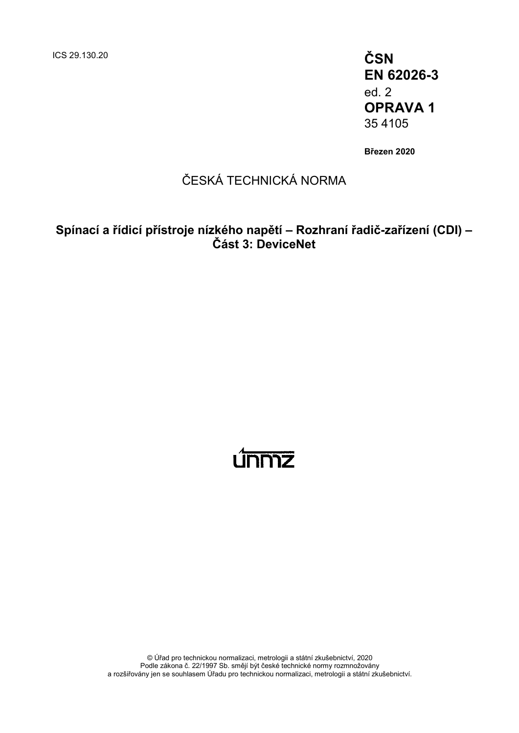ICS 29.130.20 **ČSN**

**EN 62026-3**  ed. 2 **OPRAVA 1** 35 4105

**Březen 2020**

# ČESKÁ TECHNICKÁ NORMA

**Spínací a řídicí přístroje nízkého napětí – Rozhraní řadič-zařízení (CDI) – Část 3: DeviceNet**

# <u>únniz</u>

© Úřad pro technickou normalizaci, metrologii a státní zkušebnictví, 2020 Podle zákona č. 22/1997 Sb. smějí být české technické normy rozmnožovány a rozšiřovány jen se souhlasem Úřadu pro technickou normalizaci, metrologii a státní zkušebnictví.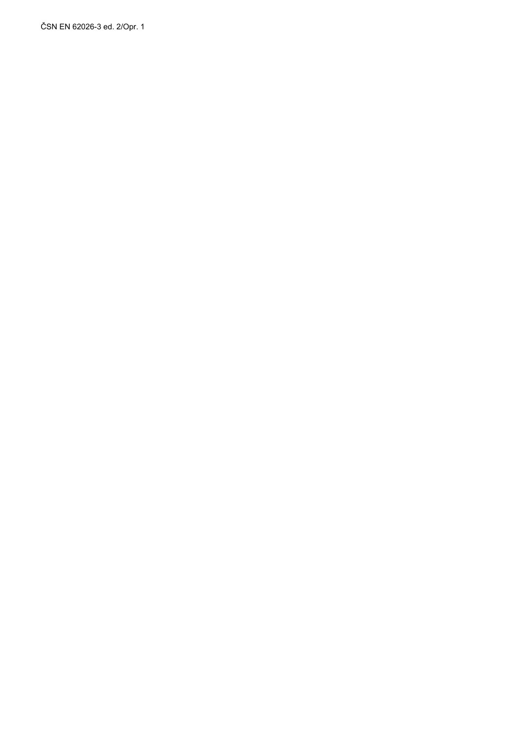ČSN EN 62026-3 ed. 2/Opr. 1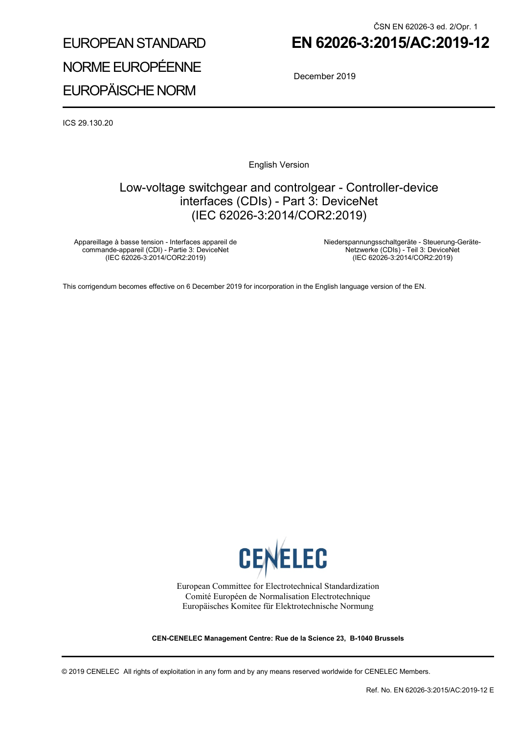# EUROPEAN STANDARD NORME EUROPÉENNE EUROPÄISCHE NORM



December 2019

ICS 29.130.20

English Version

### Low-voltage switchgear and controlgear - Controller-device interfaces (CDIs) - Part 3: DeviceNet (IEC 62026-3:2014/COR2:2019)

Appareillage à basse tension - Interfaces appareil de commande-appareil (CDI) - Partie 3: DeviceNet (IEC 62026-3:2014/COR2:2019)

 Niederspannungsschaltgeräte - Steuerung-Geräte-Netzwerke (CDIs) - Teil 3: DeviceNet (IEC 62026-3:2014/COR2:2019)

This corrigendum becomes effective on 6 December 2019 for incorporation in the English language version of the EN.



European Committee for Electrotechnical Standardization Comité Européen de Normalisation Electrotechnique Europäisches Komitee für Elektrotechnische Normung

**CEN-CENELEC Management Centre: Rue de la Science 23, B-1040 Brussels** 

© 2019 CENELEC All rights of exploitation in any form and by any means reserved worldwide for CENELEC Members.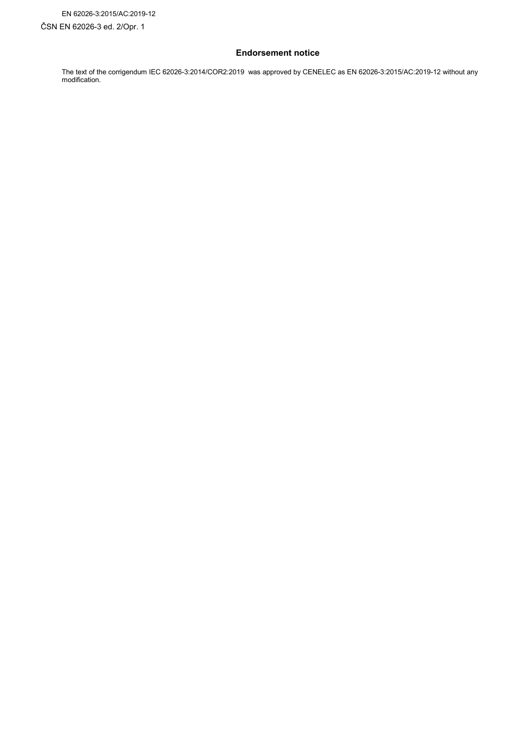EN 62026-3:2015/AC:2019-12

ČSN EN 62026-3 ed. 2/Opr. 1

#### **Endorsement notice**

The text of the corrigendum IEC 62026-3:2014/COR2:2019 was approved by CENELEC as EN 62026-3:2015/AC:2019-12 without any modification.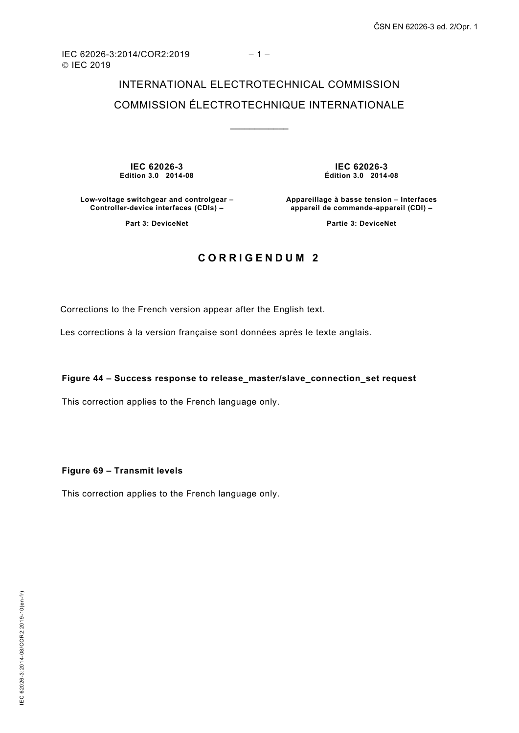IEC 62026-3:2014/COR2:2019 – 1 – © IEC 2019

## INTERNATIONAL ELECTROTECHNICAL COMMISSION COMMISSION ÉLECTROTECHNIQUE INTERNATIONALE

\_\_\_\_\_\_\_\_\_\_\_\_

**IEC 62026-3 Edition 3.0 2014-08**

**IEC 62026-3 Édition 3.0 2014-08**

**Low-voltage switchgear and controlgear – Controller-device interfaces (CDIs) –** 

**Part 3: DeviceNet**

**Appareillage à basse tension – Interfaces appareil de commande-appareil (CDI) –** 

**Partie 3: DeviceNet**

**CORRIGENDUM 2** 

Corrections to the French version appear after the English text.

Les corrections à la version française sont données après le texte anglais.

#### **Figure 44 – Success response to release\_master/slave\_connection\_set request**

This correction applies to the French language only.

**Figure 69 – Transmit levels**

This correction applies to the French language only.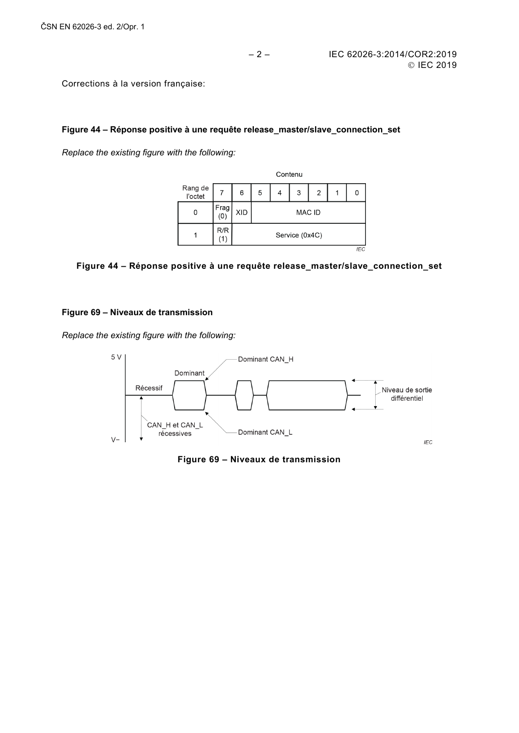Corrections à la version française:

#### **Figure 44 – Réponse positive à une requête release\_master/slave\_connection\_set**

*Replace the existing figure with the following:*

|                    | Contenu     |                |               |  |   |   |  |     |
|--------------------|-------------|----------------|---------------|--|---|---|--|-----|
| Rang de<br>l'octet | 7           | 6              | 5             |  | 3 | 2 |  |     |
|                    | Frag<br>(0) | XID            | <b>MAC ID</b> |  |   |   |  |     |
|                    | R/R         | Service (0x4C) |               |  |   |   |  |     |
|                    |             |                |               |  |   |   |  | IEC |



#### **Figure 69 – Niveaux de transmission**

*Replace the existing figure with the following:*



**Figure 69 – Niveaux de transmission**